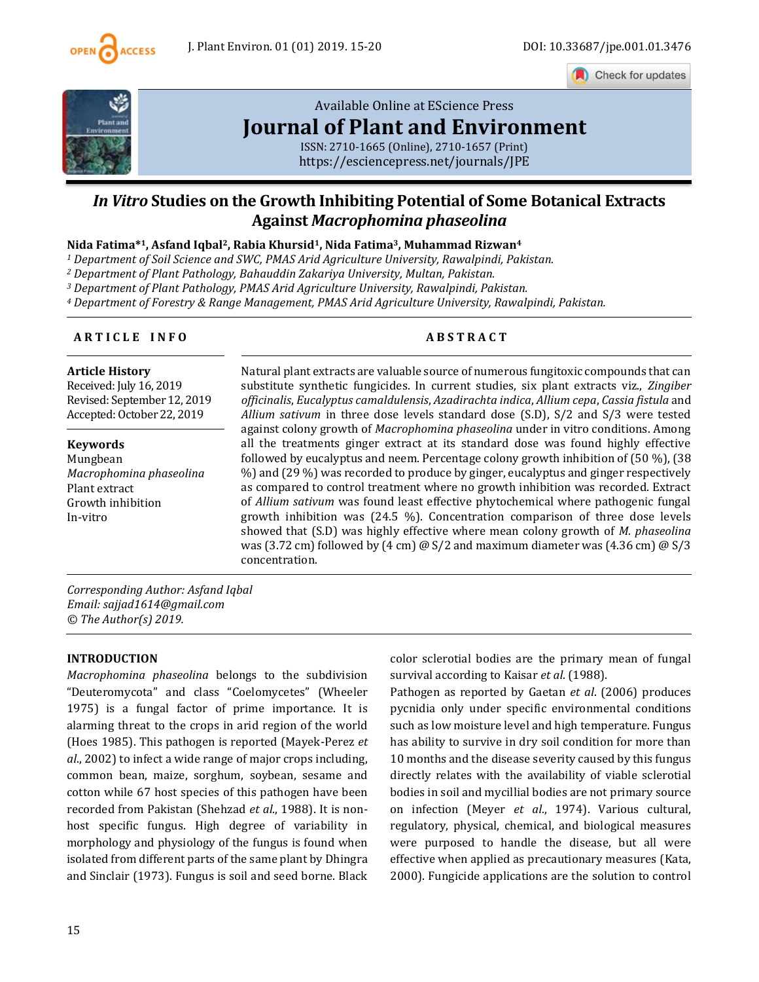

Check for updates



# [Available Online at EScience Press](https://esciencepress.net/journals/JPE) **[Journal of Plant and Environment](https://esciencepress.net/journals/JPE)**

ISSN: 2710-1665 (Online), 2710-1657 (Print) <https://esciencepress.net/journals/JPE>

# *In Vitro* **Studies on the Growth Inhibiting Potential of Some Botanical Extracts Against** *Macrophomina phaseolina*

**Nida Fatima\*1, Asfand Iqbal2, Rabia Khursid1, Nida Fatima3, Muhammad Rizwan<sup>4</sup>**

*<sup>1</sup> Department of Soil Science and SWC, PMAS Arid Agriculture University, Rawalpindi, Pakistan.*

*<sup>2</sup> Department of Plant Pathology, Bahauddin Zakariya University, Multan, Pakistan.*

*<sup>3</sup> Department of Plant Pathology, PMAS Arid Agriculture University, Rawalpindi, Pakistan.*

*<sup>4</sup> Department of Forestry & Range Management, PMAS Arid Agriculture University, Rawalpindi, Pakistan.*

## **A R T I C L E I N F O A B S T R A C T**

#### **Article History**

Received: July 16, 2019 Revised: September 12, 2019 Accepted: October 22, 2019

**Keywords** Mungbean *Macrophomina phaseolina* Plant extract Growth inhibition In-vitro

Natural plant extracts are valuable source of numerous fungitoxic compounds that can substitute synthetic fungicides. In current studies, six plant extracts viz., *Zingiber officinalis*, *Eucalyptus camaldulensis*, *Azadirachta indica*, *Allium cepa*, *Cassia fistula* and *Allium sativum* in three dose levels standard dose (S.D), S/2 and S/3 were tested against colony growth of *Macrophomina phaseolina* under in vitro conditions. Among all the treatments ginger extract at its standard dose was found highly effective followed by eucalyptus and neem. Percentage colony growth inhibition of (50 %), (38 %) and (29 %) was recorded to produce by ginger, eucalyptus and ginger respectively as compared to control treatment where no growth inhibition was recorded. Extract of *Allium sativum* was found least effective phytochemical where pathogenic fungal growth inhibition was (24.5 %). Concentration comparison of three dose levels showed that (S.D) was highly effective where mean colony growth of *M. phaseolina* was (3.72 cm) followed by (4 cm)  $\omega$  S/2 and maximum diameter was (4.36 cm)  $\omega$  S/3 concentration.

*Corresponding Author: Asfand Iqbal Email: sajjad1614@gmail.com © The Author(s) 2019.*

# **INTRODUCTION**

*Macrophomina phaseolina* belongs to the subdivision "Deuteromycota" and class "Coelomycetes" (Wheeler 1975) is a fungal factor of prime importance. It is alarming threat to the crops in arid region of the world (Hoes 1985). This pathogen is reported (Mayek-Perez *et al*., 2002) to infect a wide range of major crops including, common bean, maize, sorghum, soybean, sesame and cotton while 67 host species of this pathogen have been recorded from Pakistan (Shehzad *et al*., 1988). It is nonhost specific fungus. High degree of variability in morphology and physiology of the fungus is found when isolated from different parts of the same plant by Dhingra and Sinclair (1973). Fungus is soil and seed borne. Black

color sclerotial bodies are the primary mean of fungal survival according to Kaisar *et al*. (1988).

Pathogen as reported by Gaetan *et al*. (2006) produces pycnidia only under specific environmental conditions such as low moisture level and high temperature. Fungus has ability to survive in dry soil condition for more than 10 months and the disease severity caused by this fungus directly relates with the availability of viable sclerotial bodies in soil and mycillial bodies are not primary source on infection (Meyer *et al*., 1974). Various cultural, regulatory, physical, chemical, and biological measures were purposed to handle the disease, but all were effective when applied as precautionary measures (Kata, 2000). Fungicide applications are the solution to control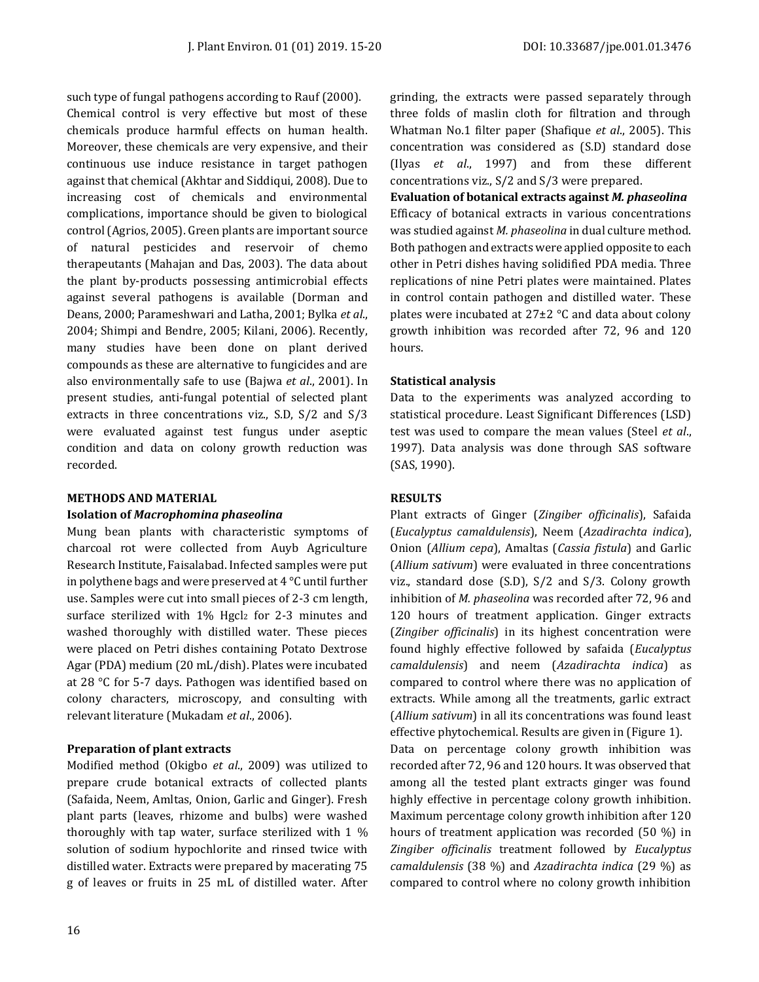such type of fungal pathogens according to Rauf (2000). Chemical control is very effective but most of these chemicals produce harmful effects on human health. Moreover, these chemicals are very expensive, and their continuous use induce resistance in target pathogen against that chemical (Akhtar and Siddiqui, 2008). Due to increasing cost of chemicals and environmental complications, importance should be given to biological control (Agrios, 2005). Green plants are important source of natural pesticides and reservoir of chemo therapeutants (Mahajan and Das, 2003). The data about the plant by-products possessing antimicrobial effects against several pathogens is available (Dorman and Deans, 2000; Parameshwari and Latha, 2001; Bylka *et al*., 2004; Shimpi and Bendre, 2005; Kilani, 2006). Recently, many studies have been done on plant derived compounds as these are alternative to fungicides and are also environmentally safe to use (Bajwa *et al*., 2001). In present studies, anti-fungal potential of selected plant extracts in three concentrations viz., S.D, S/2 and S/3 were evaluated against test fungus under aseptic condition and data on colony growth reduction was recorded.

# **METHODS AND MATERIAL**

## **Isolation of** *Macrophomina phaseolina*

Mung bean plants with characteristic symptoms of charcoal rot were collected from Auyb Agriculture Research Institute, Faisalabad. Infected samples were put in polythene bags and were preserved at 4 °C until further use. Samples were cut into small pieces of 2-3 cm length, surface sterilized with 1% Hgcl<sub>2</sub> for 2-3 minutes and washed thoroughly with distilled water. These pieces were placed on Petri dishes containing Potato Dextrose Agar (PDA) medium (20 mL/dish). Plates were incubated at 28 °C for 5-7 days. Pathogen was identified based on colony characters, microscopy, and consulting with relevant literature (Mukadam *et al*., 2006).

# **Preparation of plant extracts**

Modified method (Okigbo *et al*., 2009) was utilized to prepare crude botanical extracts of collected plants (Safaida, Neem, Amltas, Onion, Garlic and Ginger). Fresh plant parts (leaves, rhizome and bulbs) were washed thoroughly with tap water, surface sterilized with 1 % solution of sodium hypochlorite and rinsed twice with distilled water. Extracts were prepared by macerating 75 g of leaves or fruits in 25 mL of distilled water. After grinding, the extracts were passed separately through three folds of maslin cloth for filtration and through Whatman No.1 filter paper (Shafique *et al*., 2005). This concentration was considered as (S.D) standard dose (Ilyas *et al*., 1997) and from these different concentrations viz., S/2 and S/3 were prepared.

**Evaluation of botanical extracts against** *M. phaseolina* Efficacy of botanical extracts in various concentrations was studied against *M. phaseolina* in dual culture method. Both pathogen and extracts were applied opposite to each other in Petri dishes having solidified PDA media. Three replications of nine Petri plates were maintained. Plates in control contain pathogen and distilled water. These plates were incubated at 27±2 °C and data about colony growth inhibition was recorded after 72, 96 and 120 hours.

# **Statistical analysis**

Data to the experiments was analyzed according to statistical procedure. Least Significant Differences (LSD) test was used to compare the mean values (Steel *et al*., 1997). Data analysis was done through SAS software (SAS, 1990).

# **RESULTS**

Plant extracts of Ginger (*Zingiber officinalis*), Safaida (*Eucalyptus camaldulensis*), Neem (*Azadirachta indica*), Onion (*Allium cepa*), Amaltas (*Cassia fistula*) and Garlic (*Allium sativum*) were evaluated in three concentrations viz., standard dose (S.D), S/2 and S/3. Colony growth inhibition of *M. phaseolina* was recorded after 72, 96 and 120 hours of treatment application. Ginger extracts (*Zingiber officinalis*) in its highest concentration were found highly effective followed by safaida (*Eucalyptus camaldulensis*) and neem (*Azadirachta indica*) as compared to control where there was no application of extracts. While among all the treatments, garlic extract (*Allium sativum*) in all its concentrations was found least effective phytochemical. Results are given in (Figure 1).

Data on percentage colony growth inhibition was recorded after 72, 96 and 120 hours. It was observed that among all the tested plant extracts ginger was found highly effective in percentage colony growth inhibition. Maximum percentage colony growth inhibition after 120 hours of treatment application was recorded (50 %) in *Zingiber officinalis* treatment followed by *Eucalyptus camaldulensis* (38 %) and *Azadirachta indica* (29 %) as compared to control where no colony growth inhibition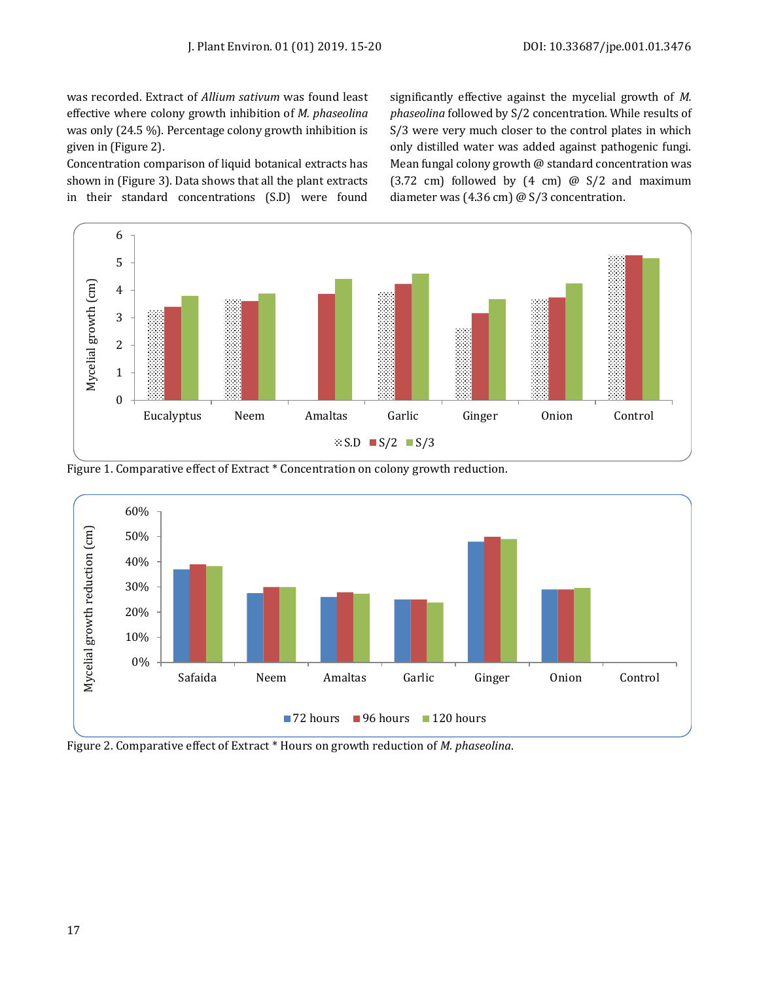was recorded. Extract of *Allium sativum* was found least effective where colony growth inhibition of *M. phaseolina* was only (24.5 %). Percentage colony growth inhibition is given in (Figure 2).

Concentration comparison of liquid botanical extracts has shown in (Figure 3). Data shows that all the plant extracts in their standard concentrations (S.D) were found

significantly effective against the mycelial growth of *M. phaseolina* followed by S/2 concentration. While results of S/3 were very much closer to the control plates in which only distilled water was added against pathogenic fungi. Mean fungal colony growth @ standard concentration was (3.72 cm) followed by  $(4 \text{ cm})$  @ S/2 and maximum diameter was (4.36 cm) @ S/3 concentration.







Figure 2. Comparative effect of Extract \* Hours on growth reduction of *M. phaseolina*.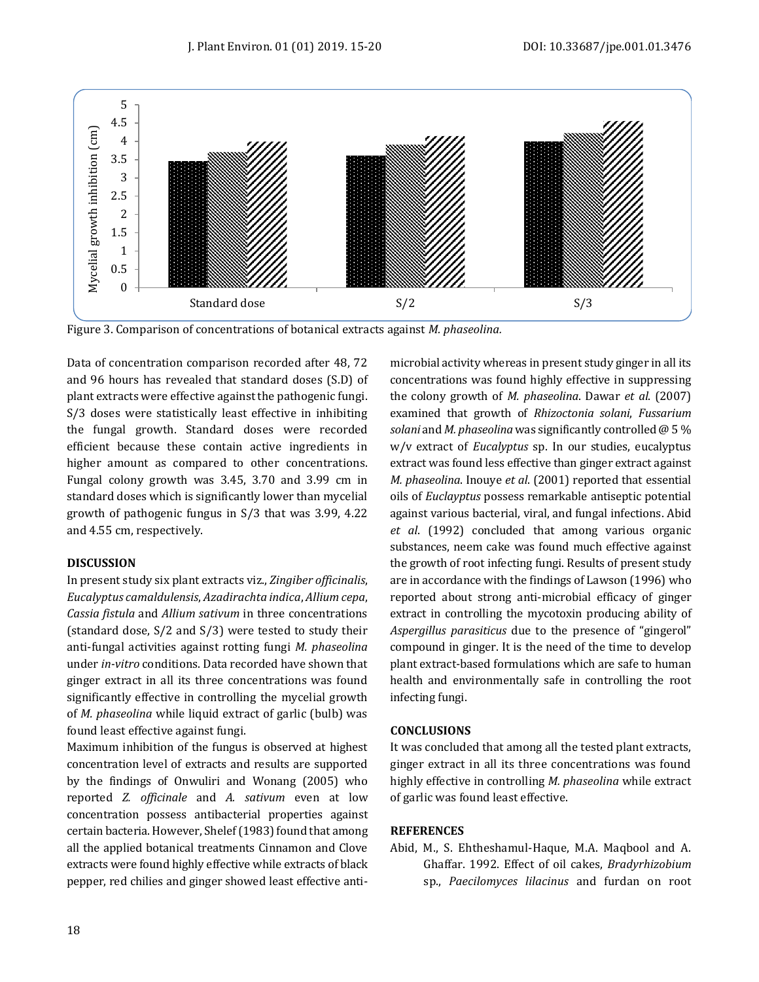

Figure 3. Comparison of concentrations of botanical extracts against *M. phaseolina.*

Data of concentration comparison recorded after 48, 72 and 96 hours has revealed that standard doses (S.D) of plant extracts were effective against the pathogenic fungi. S/3 doses were statistically least effective in inhibiting the fungal growth. Standard doses were recorded efficient because these contain active ingredients in higher amount as compared to other concentrations. Fungal colony growth was 3.45, 3.70 and 3.99 cm in standard doses which is significantly lower than mycelial growth of pathogenic fungus in S/3 that was 3.99, 4.22 and 4.55 cm, respectively.

## **DISCUSSION**

In present study six plant extracts viz., *Zingiber officinalis*, *Eucalyptus camaldulensis*, *Azadirachta indica*, *Allium cepa*, *Cassia fistula* and *Allium sativum* in three concentrations (standard dose, S/2 and S/3) were tested to study their anti-fungal activities against rotting fungi *M. phaseolina* under *in-vitro* conditions. Data recorded have shown that ginger extract in all its three concentrations was found significantly effective in controlling the mycelial growth of *M. phaseolina* while liquid extract of garlic (bulb) was found least effective against fungi.

Maximum inhibition of the fungus is observed at highest concentration level of extracts and results are supported by the findings of Onwuliri and Wonang (2005) who reported *Z. officinale* and *A. sativum* even at low concentration possess antibacterial properties against certain bacteria. However, Shelef (1983) found that among all the applied botanical treatments Cinnamon and Clove extracts were found highly effective while extracts of black pepper, red chilies and ginger showed least effective antimicrobial activity whereas in present study ginger in all its concentrations was found highly effective in suppressing the colony growth of *M. phaseolina*. Dawar *et al*. (2007) examined that growth of *Rhizoctonia solani*, *Fussarium solani* and *M. phaseolina* was significantly controlled @ 5 % w/v extract of *Eucalyptus* sp. In our studies, eucalyptus extract was found less effective than ginger extract against *M. phaseolina*. Inouye *et al*. (2001) reported that essential oils of *Euclayptus* possess remarkable antiseptic potential against various bacterial, viral, and fungal infections. Abid *et al*. (1992) concluded that among various organic substances, neem cake was found much effective against the growth of root infecting fungi. Results of present study are in accordance with the findings of Lawson (1996) who reported about strong anti-microbial efficacy of ginger extract in controlling the mycotoxin producing ability of *Aspergillus parasiticus* due to the presence of "gingerol" compound in ginger. It is the need of the time to develop plant extract-based formulations which are safe to human health and environmentally safe in controlling the root infecting fungi.

## **CONCLUSIONS**

It was concluded that among all the tested plant extracts, ginger extract in all its three concentrations was found highly effective in controlling *M. phaseolina* while extract of garlic was found least effective.

## **REFERENCES**

Abid, M., S. Ehtheshamul-Haque, M.A. Maqbool and A. Ghaffar. 1992. Effect of oil cakes, *Bradyrhizobium* sp., *Paecilomyces lilacinus* and furdan on root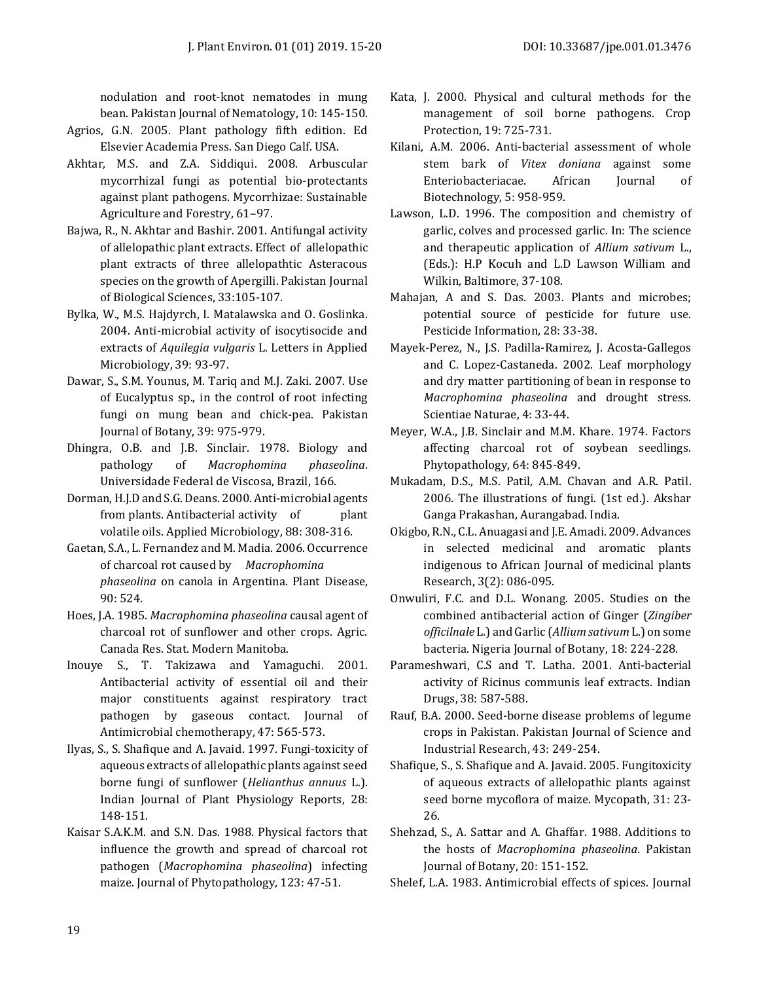nodulation and root-knot nematodes in mung bean. Pakistan Journal of Nematology, 10: 145-150.

- Agrios, G.N. 2005. Plant pathology fifth edition. Ed Elsevier Academia Press. San Diego Calf. USA.
- Akhtar, M.S. and Z.A. Siddiqui. 2008. Arbuscular mycorrhizal fungi as potential bio-protectants against plant pathogens. Mycorrhizae: Sustainable Agriculture and Forestry, 61–97.
- Bajwa, R., N. Akhtar and Bashir. 2001. Antifungal activity of allelopathic plant extracts. Effect of allelopathic plant extracts of three allelopathtic Asteracous species on the growth of Apergilli. Pakistan Journal of Biological Sciences, 33:105-107.
- Bylka, W., M.S. Hajdyrch, I. Matalawska and O. Goslinka. 2004. Anti-microbial activity of isocytisocide and extracts of *Aquilegia vulgaris* L. Letters in Applied Microbiology, 39: 93-97.
- Dawar, S., S.M. Younus, M. Tariq and M.J. Zaki. 2007. Use of Eucalyptus sp., in the control of root infecting fungi on mung bean and chick-pea. Pakistan Journal of Botany, 39: 975-979.
- Dhingra, O.B. and J.B. Sinclair. 1978. Biology and pathology of *Macrophomina phaseolina*. Universidade Federal de Viscosa, Brazil, 166.
- Dorman, H.J.D and S.G. Deans. 2000. Anti-microbial agents from plants. Antibacterial activity of plant volatile oils. Applied Microbiology, 88: 308-316.
- Gaetan, S.A., L. Fernandez and M. Madia. 2006. Occurrence of charcoal rot caused by *Macrophomina phaseolina* on canola in Argentina. Plant Disease, 90: 524.
- Hoes, J.A. 1985. *Macrophomina phaseolina* causal agent of charcoal rot of sunflower and other crops. Agric. Canada Res. Stat. Modern Manitoba.
- Inouye S., T. Takizawa and Yamaguchi. 2001. Antibacterial activity of essential oil and their major constituents against respiratory tract pathogen by gaseous contact. Journal of Antimicrobial chemotherapy, 47: 565-573.
- Ilyas, S., S. Shafique and A. Javaid. 1997. Fungi-toxicity of aqueous extracts of allelopathic plants against seed borne fungi of sunflower (*Helianthus annuus* L.). Indian Journal of Plant Physiology Reports, 28: 148-151.
- Kaisar S.A.K.M. and S.N. Das. 1988. Physical factors that influence the growth and spread of charcoal rot pathogen (*Macrophomina phaseolina*) infecting maize. Journal of Phytopathology, 123: 47-51.
- Kata, J. 2000. Physical and cultural methods for the management of soil borne pathogens. Crop Protection, 19: 725-731.
- Kilani, A.M. 2006. Anti-bacterial assessment of whole stem bark of *Vitex doniana* against some Enteriobacteriacae. African Journal of Biotechnology, 5: 958-959.
- Lawson, L.D. 1996. The composition and chemistry of garlic, colves and processed garlic. In: The science and therapeutic application of *Allium sativum* L., (Eds.): H.P Kocuh and L.D Lawson William and Wilkin, Baltimore, 37-108.
- Mahajan, A and S. Das. 2003. Plants and microbes; potential source of pesticide for future use. Pesticide Information, 28: 33-38.
- Mayek-Perez, N., J.S. Padilla-Ramirez, J. Acosta-Gallegos and C. Lopez-Castaneda. 2002. Leaf morphology and dry matter partitioning of bean in response to *Macrophomina phaseolina* and drought stress. Scientiae Naturae, 4: 33-44.
- Meyer, W.A., J.B. Sinclair and M.M. Khare. 1974. Factors affecting charcoal rot of soybean seedlings. Phytopathology, 64: 845-849.
- Mukadam, D.S., M.S. Patil, A.M. Chavan and A.R. Patil. 2006. The illustrations of fungi. (1st ed.). Akshar Ganga Prakashan, Aurangabad. India.
- Okigbo, R.N., C.L. Anuagasi and J.E. Amadi. 2009. Advances in selected medicinal and aromatic plants indigenous to African Journal of medicinal plants Research, 3(2): 086-095.
- Onwuliri, F.C. and D.L. Wonang. 2005. Studies on the combined antibacterial action of Ginger (*Zingiber officilnale* L.) and Garlic (*Allium sativum* L.) on some bacteria. Nigeria Journal of Botany, 18: 224-228.
- Parameshwari, C.S and T. Latha. 2001. Anti-bacterial activity of Ricinus communis leaf extracts. Indian Drugs, 38: 587-588.
- Rauf, B.A. 2000. Seed-borne disease problems of legume crops in Pakistan. Pakistan Journal of Science and Industrial Research, 43: 249-254.
- Shafique, S., S. Shafique and A. Javaid. 2005. Fungitoxicity of aqueous extracts of allelopathic plants against seed borne mycoflora of maize. Mycopath, 31: 23- 26.
- Shehzad, S., A. Sattar and A. Ghaffar. 1988. Additions to the hosts of *Macrophomina phaseolina*. Pakistan Journal of Botany, 20: 151-152.
- Shelef, L.A. 1983. Antimicrobial effects of spices. Journal